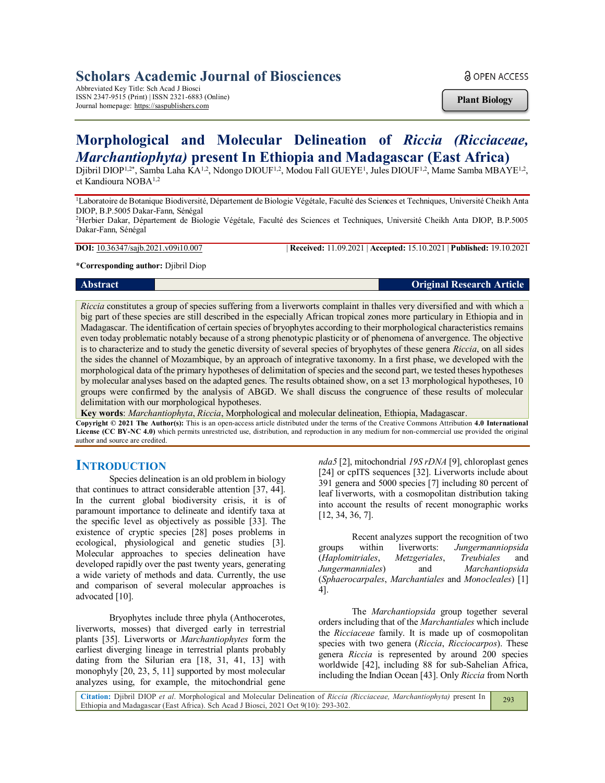# **Scholars Academic Journal of Biosciences**

Abbreviated Key Title: Sch Acad J Biosci ISSN 2347-9515 (Print) | ISSN 2321-6883 (Online) Journal homepage: https://saspublishers.com

**a** OPEN ACCESS

**Plant Biology**

# **Morphological and Molecular Delineation of** *Riccia (Ricciaceae, Marchantiophyta)* **present In Ethiopia and Madagascar (East Africa)**

Djibril DIOP<sup>1,2\*</sup>, Samba Laha KA<sup>1,2</sup>, Ndongo DIOUF<sup>1,2</sup>, Modou Fall GUEYE<sup>1</sup>, Jules DIOUF<sup>1,2</sup>, Mame Samba MBAYE<sup>1,2</sup>, et Kandioura NOBA1,2

<sup>1</sup>Laboratoire de Botanique Biodiversité, Département de Biologie Végétale, Faculté des Sciences et Techniques, Université Cheikh Anta DIOP, B.P.5005 Dakar-Fann, Sénégal

<sup>2</sup>Herbier Dakar, Département de Biologie Végétale, Faculté des Sciences et Techniques, Université Cheikh Anta DIOP, B.P.5005 Dakar-Fann, Sénégal

**DOI:** 10.36347/sajb.2021.v09i10.007 | **Received:** 11.09.2021 | **Accepted:** 15.10.2021 | **Published:** 19.10.2021

**\*Corresponding author:** Djibril Diop

**Abstract Original Research Article**

*Riccia* constitutes a group of species suffering from a liverworts complaint in thalles very diversified and with which a big part of these species are still described in the especially African tropical zones more particulary in Ethiopia and in Madagascar. The identification of certain species of bryophytes according to their morphological characteristics remains even today problematic notably because of a strong phenotypic plasticity or of phenomena of anvergence. The objective is to characterize and to study the genetic diversity of several species of bryophytes of these genera *Riccia*, on all sides the sides the channel of Mozambique, by an approach of integrative taxonomy. In a first phase, we developed with the morphological data of the primary hypotheses of delimitation of species and the second part, we tested theses hypotheses by molecular analyses based on the adapted genes. The results obtained show, on a set 13 morphological hypotheses, 10 groups were confirmed by the analysis of ABGD. We shall discuss the congruence of these results of molecular delimitation with our morphological hypotheses.

**Key words**: *Marchantiophyta*, *Riccia*, Morphological and molecular delineation, Ethiopia, Madagascar.

**Copyright © 2021 The Author(s):** This is an open-access article distributed under the terms of the Creative Commons Attribution **4.0 International License (CC BY-NC 4.0)** which permits unrestricted use, distribution, and reproduction in any medium for non-commercial use provided the original author and source are credited.

# **INTRODUCTION**

Species delineation is an old problem in biology that continues to attract considerable attention [37, 44]. In the current global biodiversity crisis, it is of paramount importance to delineate and identify taxa at the specific level as objectively as possible [33]. The existence of cryptic species [28] poses problems in ecological, physiological and genetic studies [3]. Molecular approaches to species delineation have developed rapidly over the past twenty years, generating a wide variety of methods and data. Currently, the use and comparison of several molecular approaches is advocated [10].

Bryophytes include three phyla (Anthocerotes, liverworts, mosses) that diverged early in terrestrial plants [35]. Liverworts or *Marchantiophytes* form the earliest diverging lineage in terrestrial plants probably dating from the Silurian era [18, 31, 41, 13] with monophyly [20, 23, 5, 11] supported by most molecular analyzes using, for example, the mitochondrial gene

*nda5* [2], mitochondrial *19S rDNA* [9], chloroplast genes [24] or cpITS sequences [32]. Liverworts include about 391 genera and 5000 species [7] including 80 percent of leaf liverworts, with a cosmopolitan distribution taking into account the results of recent monographic works [12, 34, 36, 7].

Recent analyzes support the recognition of two groups within liverworts: *Jungermanniopsida* (*Haplomitriales*, *Metzgeriales*, *Treubiales* and *Jungermanniales*) and *Marchantiopsida* (*Sphaerocarpales*, *Marchantiales* and *Monocleales*) [1] 4].

The *Marchantiopsida* group together several orders including that of the *Marchantiales* which include the *Ricciaceae* family. It is made up of cosmopolitan species with two genera (*Riccia*, *Ricciocarpos*). These genera *Riccia* is represented by around 200 species worldwide [42], including 88 for sub-Sahelian Africa, including the Indian Ocean [43]. Only *Riccia* from North

**Citation:** Djibril DIOP *et al*. Morphological and Molecular Delineation of *Riccia (Ricciaceae, Marchantiophyta)* present In Ethiopia and Madagascar (East Africa). Sch Acad J Biosci, 2021 Oct 9(10): 293-302. 293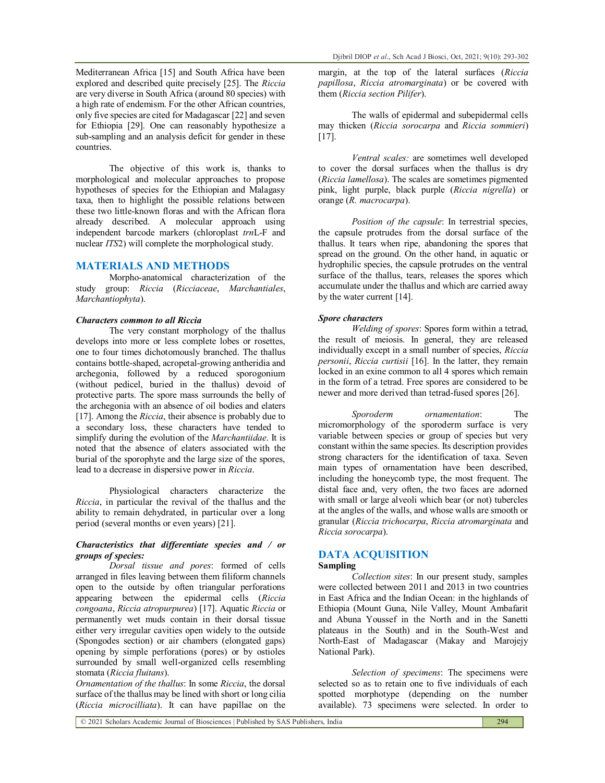Mediterranean Africa [15] and South Africa have been explored and described quite precisely [25]. The *Riccia* are very diverse in South Africa (around 80 species) with a high rate of endemism. For the other African countries, only five species are cited for Madagascar [22] and seven for Ethiopia [29]. One can reasonably hypothesize a sub-sampling and an analysis deficit for gender in these countries.

The objective of this work is, thanks to morphological and molecular approaches to propose hypotheses of species for the Ethiopian and Malagasy taxa, then to highlight the possible relations between these two little-known floras and with the African flora already described. A molecular approach using independent barcode markers (chloroplast *trn*L-F and nuclear *ITS*2) will complete the morphological study.

#### **MATERIALS AND METHODS**

Morpho-anatomical characterization of the study group: *Riccia* (*Ricciaceae*, *Marchantiales*, *Marchantiophyta*).

#### *Characters common to all Riccia*

The very constant morphology of the thallus develops into more or less complete lobes or rosettes, one to four times dichotomously branched. The thallus contains bottle-shaped, acropetal-growing antheridia and archegonia, followed by a reduced sporogonium (without pedicel, buried in the thallus) devoid of protective parts. The spore mass surrounds the belly of the archegonia with an absence of oil bodies and elaters [17]. Among the *Riccia*, their absence is probably due to a secondary loss, these characters have tended to simplify during the evolution of the *Marchantiidae*. It is noted that the absence of elaters associated with the burial of the sporophyte and the large size of the spores, lead to a decrease in dispersive power in *Riccia*.

Physiological characters characterize the *Riccia*, in particular the revival of the thallus and the ability to remain dehydrated, in particular over a long period (several months or even years) [21].

#### *Characteristics that differentiate species and / or groups of species:*

*Dorsal tissue and pores*: formed of cells arranged in files leaving between them filiform channels open to the outside by often triangular perforations appearing between the epidermal cells (*Riccia congoana*, *Riccia atropurpurea*) [17]. Aquatic *Riccia* or permanently wet muds contain in their dorsal tissue either very irregular cavities open widely to the outside (Spongodes section) or air chambers (elongated gaps) opening by simple perforations (pores) or by ostioles surrounded by small well-organized cells resembling stomata (*Riccia fluitans*).

*Ornamentation of the thallus*: In some *Riccia*, the dorsal surface of the thallus may be lined with short or long cilia (*Riccia microcilliata*). It can have papillae on the

margin, at the top of the lateral surfaces (*Riccia papillosa*, *Riccia atromarginata*) or be covered with them (*Riccia section Pilifer*).

The walls of epidermal and subepidermal cells may thicken (*Riccia sorocarpa* and *Riccia sommieri*) [17].

*Ventral scales:* are sometimes well developed to cover the dorsal surfaces when the thallus is dry (*Riccia lamellosa*). The scales are sometimes pigmented pink, light purple, black purple (*Riccia nigrella*) or orange (*R. macrocarpa*).

*Position of the capsule*: In terrestrial species, the capsule protrudes from the dorsal surface of the thallus. It tears when ripe, abandoning the spores that spread on the ground. On the other hand, in aquatic or hydrophilic species, the capsule protrudes on the ventral surface of the thallus, tears, releases the spores which accumulate under the thallus and which are carried away by the water current [14].

#### *Spore characters*

*Welding of spores*: Spores form within a tetrad, the result of meiosis. In general, they are released individually except in a small number of species, *Riccia personii*, *Riccia curtisii* [16]. In the latter, they remain locked in an exine common to all 4 spores which remain in the form of a tetrad. Free spores are considered to be newer and more derived than tetrad-fused spores [26].

*Sporoderm ornamentation*: The micromorphology of the sporoderm surface is very variable between species or group of species but very constant within the same species. Its description provides strong characters for the identification of taxa. Seven main types of ornamentation have been described, including the honeycomb type, the most frequent. The distal face and, very often, the two faces are adorned with small or large alveoli which bear (or not) tubercles at the angles of the walls, and whose walls are smooth or granular (*Riccia trichocarpa*, *Riccia atromarginata* and *Riccia sorocarpa*).

# **DATA ACQUISITION**

### **Sampling**

*Collection sites*: In our present study, samples were collected between 2011 and 2013 in two countries in East Africa and the Indian Ocean: in the highlands of Ethiopia (Mount Guna, Nile Valley, Mount Ambafarit and Abuna Youssef in the North and in the Sanetti plateaus in the South) and in the South-West and North-East of Madagascar (Makay and Marojejy National Park).

*Selection of specimens*: The specimens were selected so as to retain one to five individuals of each spotted morphotype (depending on the number available). 73 specimens were selected. In order to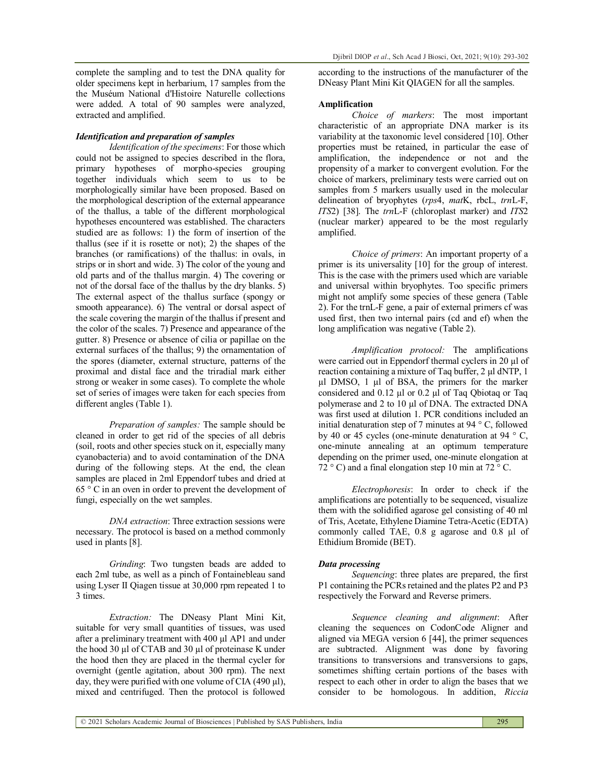complete the sampling and to test the DNA quality for older specimens kept in herbarium, 17 samples from the the Muséum National d'Histoire Naturelle collections were added. A total of 90 samples were analyzed, extracted and amplified.

## *Identification and preparation of samples*

*Identification of the specimens*: For those which could not be assigned to species described in the flora, primary hypotheses of morpho-species grouping together individuals which seem to us to be morphologically similar have been proposed. Based on the morphological description of the external appearance of the thallus, a table of the different morphological hypotheses encountered was established. The characters studied are as follows: 1) the form of insertion of the thallus (see if it is rosette or not); 2) the shapes of the branches (or ramifications) of the thallus: in ovals, in strips or in short and wide. 3) The color of the young and old parts and of the thallus margin. 4) The covering or not of the dorsal face of the thallus by the dry blanks. 5) The external aspect of the thallus surface (spongy or smooth appearance). 6) The ventral or dorsal aspect of the scale covering the margin of the thallus if present and the color of the scales. 7) Presence and appearance of the gutter. 8) Presence or absence of cilia or papillae on the external surfaces of the thallus; 9) the ornamentation of the spores (diameter, external structure, patterns of the proximal and distal face and the triradial mark either strong or weaker in some cases). To complete the whole set of series of images were taken for each species from different angles (Table 1).

*Preparation of samples:* The sample should be cleaned in order to get rid of the species of all debris (soil, roots and other species stuck on it, especially many cyanobacteria) and to avoid contamination of the DNA during of the following steps. At the end, the clean samples are placed in 2ml Eppendorf tubes and dried at 65 ° C in an oven in order to prevent the development of fungi, especially on the wet samples.

*DNA extraction*: Three extraction sessions were necessary. The protocol is based on a method commonly used in plants [8].

*Grinding*: Two tungsten beads are added to each 2ml tube, as well as a pinch of Fontainebleau sand using Lyser II Qiagen tissue at 30,000 rpm repeated 1 to 3 times.

*Extraction:* The DNeasy Plant Mini Kit, suitable for very small quantities of tissues, was used after a preliminary treatment with 400 µl AP1 and under the hood 30 µl of CTAB and 30 µl of proteinase K under the hood then they are placed in the thermal cycler for overnight (gentle agitation, about 300 rpm). The next day, they were purified with one volume of CIA  $(490 \mu l)$ , mixed and centrifuged. Then the protocol is followed

according to the instructions of the manufacturer of the DNeasy Plant Mini Kit QIAGEN for all the samples.

#### **Amplification**

*Choice of markers*: The most important characteristic of an appropriate DNA marker is its variability at the taxonomic level considered [10]. Other properties must be retained, in particular the ease of amplification, the independence or not and the propensity of a marker to convergent evolution. For the choice of markers, preliminary tests were carried out on samples from 5 markers usually used in the molecular delineation of bryophytes (*rps*4, *mat*K, rbcL, *trn*L-F, *ITS*2) [38]. The *trn*L-F (chloroplast marker) and *ITS*2 (nuclear marker) appeared to be the most regularly amplified.

*Choice of primers*: An important property of a primer is its universality [10] for the group of interest. This is the case with the primers used which are variable and universal within bryophytes. Too specific primers might not amplify some species of these genera (Table 2). For the trnL-F gene, a pair of external primers cf was used first, then two internal pairs (cd and ef) when the long amplification was negative (Table 2).

*Amplification protocol:* The amplifications were carried out in Eppendorf thermal cyclers in 20 µl of reaction containing a mixture of Taq buffer, 2 µl dNTP, 1 µl DMSO, 1 µl of BSA, the primers for the marker considered and 0.12 µl or 0.2 µl of Taq Qbiotaq or Taq polymerase and 2 to 10 µl of DNA. The extracted DNA was first used at dilution 1. PCR conditions included an initial denaturation step of 7 minutes at 94 ° C, followed by 40 or 45 cycles (one-minute denaturation at 94  $\degree$  C, one-minute annealing at an optimum temperature depending on the primer used, one-minute elongation at  $72^{\circ}$  C) and a final elongation step 10 min at  $72^{\circ}$  C.

*Electrophoresis*: In order to check if the amplifications are potentially to be sequenced, visualize them with the solidified agarose gel consisting of 40 ml of Tris, Acetate, Ethylene Diamine Tetra-Acetic (EDTA) commonly called TAE, 0.8 g agarose and 0.8 µl of Ethidium Bromide (BET).

#### *Data processing*

*Sequencing*: three plates are prepared, the first P1 containing the PCRs retained and the plates P2 and P3 respectively the Forward and Reverse primers.

*Sequence cleaning and alignment*: After cleaning the sequences on CodonCode Aligner and aligned via MEGA version 6 [44], the primer sequences are subtracted. Alignment was done by favoring transitions to transversions and transversions to gaps, sometimes shifting certain portions of the bases with respect to each other in order to align the bases that we consider to be homologous. In addition, *Riccia*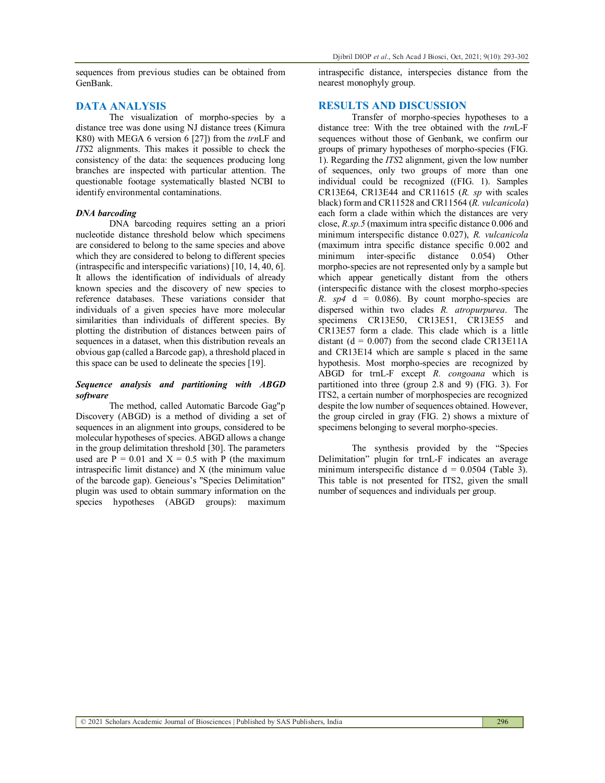sequences from previous studies can be obtained from GenBank.

#### **DATA ANALYSIS**

The visualization of morpho-species by a distance tree was done using NJ distance trees (Kimura K80) with MEGA 6 version 6 [27]) from the *trn*LF and *ITS*2 alignments. This makes it possible to check the consistency of the data: the sequences producing long branches are inspected with particular attention. The questionable footage systematically blasted NCBI to identify environmental contaminations.

#### *DNA barcoding*

DNA barcoding requires setting an a priori nucleotide distance threshold below which specimens are considered to belong to the same species and above which they are considered to belong to different species (intraspecific and interspecific variations) [10, 14, 40, 6]. It allows the identification of individuals of already known species and the discovery of new species to reference databases. These variations consider that individuals of a given species have more molecular similarities than individuals of different species. By plotting the distribution of distances between pairs of sequences in a dataset, when this distribution reveals an obvious gap (called a Barcode gap), a threshold placed in this space can be used to delineate the species [19].

#### *Sequence analysis and partitioning with ABGD software*

The method, called Automatic Barcode Gag"p Discovery (ABGD) is a method of dividing a set of sequences in an alignment into groups, considered to be molecular hypotheses of species. ABGD allows a change in the group delimitation threshold [30]. The parameters used are  $\overline{P} = 0.01$  and  $X = 0.5$  with P (the maximum intraspecific limit distance) and X (the minimum value of the barcode gap). Geneious's "Species Delimitation" plugin was used to obtain summary information on the species hypotheses (ABGD groups): maximum intraspecific distance, interspecies distance from the nearest monophyly group.

#### **RESULTS AND DISCUSSION**

Transfer of morpho-species hypotheses to a distance tree: With the tree obtained with the *trn*L-F sequences without those of Genbank, we confirm our groups of primary hypotheses of morpho-species (FIG. 1). Regarding the *ITS*2 alignment, given the low number of sequences, only two groups of more than one individual could be recognized ((FIG. 1). Samples CR13E64, CR13E44 and CR11615 (*R. sp* with scales black) form and CR11528 and CR11564 (*R. vulcanicola*) each form a clade within which the distances are very close, *R.sp.5* (maximum intra specific distance 0.006 and minimum interspecific distance 0.027), *R. vulcanicola* (maximum intra specific distance specific 0.002 and minimum inter-specific distance 0.054) Other morpho-species are not represented only by a sample but which appear genetically distant from the others (interspecific distance with the closest morpho-species *R. sp4*  $d = 0.086$ . By count morpho-species are dispersed within two clades *R. atropurpurea*. The specimens CR13E50, CR13E51, CR13E55 and CR13E57 form a clade. This clade which is a little distant ( $d = 0.007$ ) from the second clade CR13E11A and CR13E14 which are sample s placed in the same hypothesis. Most morpho-species are recognized by ABGD for trnL-F except *R. congoana* which is partitioned into three (group 2.8 and 9) (FIG. 3). For ITS2, a certain number of morphospecies are recognized despite the low number of sequences obtained. However, the group circled in gray (FIG. 2) shows a mixture of specimens belonging to several morpho-species.

The synthesis provided by the "Species Delimitation" plugin for trnL-F indicates an average minimum interspecific distance  $d = 0.0504$  (Table 3). This table is not presented for ITS2, given the small number of sequences and individuals per group.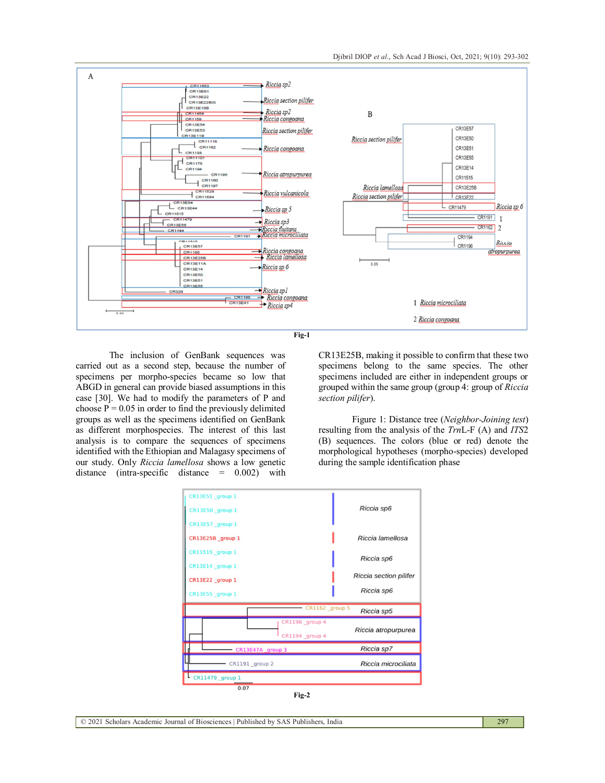



The inclusion of GenBank sequences was carried out as a second step, because the number of specimens per morpho-species became so low that ABGD in general can provide biased assumptions in this case [30]. We had to modify the parameters of P and choose  $P = 0.05$  in order to find the previously delimited groups as well as the specimens identified on GenBank as different morphospecies. The interest of this last analysis is to compare the sequences of specimens identified with the Ethiopian and Malagasy specimens of our study. Only *Riccia lamellosa* shows a low genetic distance (intra-specific distance = 0.002) with

CR13E25B, making it possible to confirm that these two specimens belong to the same species. The other specimens included are either in independent groups or grouped within the same group (group 4: group of *Riccia section pilifer*).

Figure 1: Distance tree (*Neighbor-Joining test*) resulting from the analysis of the *Trn*L-F (A) and *ITS*2 (B) sequences. The colors (blue or red) denote the morphological hypotheses (morpho-species) developed during the sample identification phase

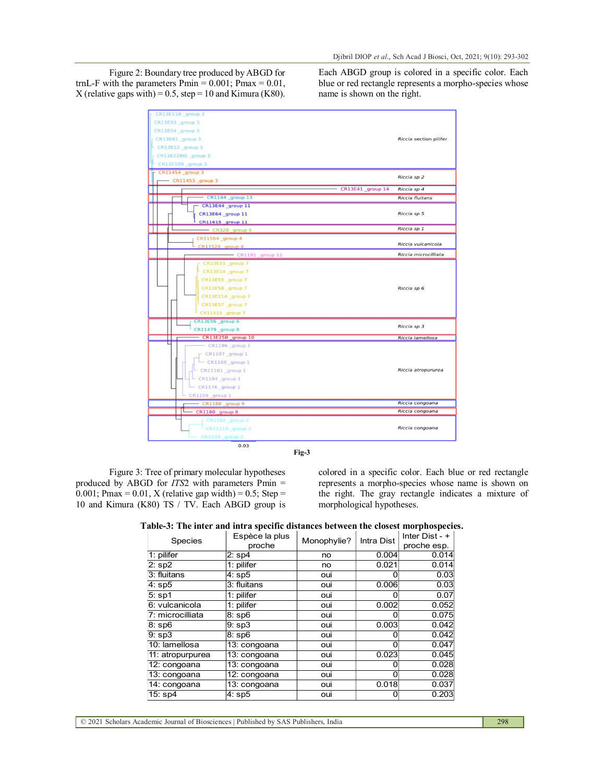Figure 2: Boundary tree produced by ABGD for trnL-F with the parameters  $\overline{P}$ min = 0.001;  $\overline{P}$ max = 0.01, X (relative gaps with) = 0.5, step = 10 and Kimura (K80). Each ABGD group is colored in a specific color. Each blue or red rectangle represents a morpho-species whose name is shown on the right.

| CR13E11B group 3       |                        |
|------------------------|------------------------|
| CR13E53 group 3        |                        |
| CR13E54 group 3        |                        |
| CR13E61 group 3        | Riccia section pilifer |
| CR13E22 group 3        |                        |
| CR13E22BIS group 3     |                        |
| CR13E10B group 3       |                        |
| CR11454 group 3        |                        |
| $-$ CR11453 group 3    | Riccia sp 2            |
| CR13E41_group 14       | Riccia sp 4            |
| CR1144 group 13        | Riccia fluitans        |
| CR13E44 group 11       |                        |
| CR13E64 group 11       | Riccia sp 5            |
| CR11615 group 11       |                        |
| $-$ CR320 group 5      | Riccia sp 1            |
| CR11564 group 4        |                        |
| <b>CR11528</b> group 4 | Riccia vulcanicola     |
| $-$ CR1191 group 12    | Riccia microcilliata   |
| CR13E51 group 7        |                        |
| CR13E14 group 7        |                        |
| CR13E55_group 7        |                        |
| CR13E50 group 7        | Riccia sp 6            |
| CR13E11A group 7       |                        |
| CR13E57 group 7        |                        |
| CR11515 group 7        |                        |
| CR13E56 group 6        | Riccia sp 3            |
| CR11479 group 6        |                        |
| CR13E25B group 10      | Riccia lamellosa       |
| CR1196 group 1         |                        |
| CR1197 group 1         |                        |
| CR1160 group 1         |                        |
| CR11101 group 1        | Riccia atropururea     |
| CR1194 group 1         |                        |
| CR1176 group 1         |                        |
| CR1159 group 1         |                        |
| CR1188 group 9         | Riccia congoana        |
| CR1180 group 8         | Riccia congoana        |
| CR1162 group 2         |                        |
| CR11118 group 2        | Riccia congoana        |
| CR1198 group 2         |                        |
| 0.03                   |                        |

**Fig-3**

Figure 3: Tree of primary molecular hypotheses produced by ABGD for *ITS*2 with parameters Pmin = 0.001; Pmax = 0.01, X (relative gap width) = 0.5; Step = 10 and Kimura (K80) TS / TV. Each ABGD group is colored in a specific color. Each blue or red rectangle represents a morpho-species whose name is shown on the right. The gray rectangle indicates a mixture of morphological hypotheses.

|  |  |  | Table-3: The inter and intra specific distances between the closest morphospecies. |  |
|--|--|--|------------------------------------------------------------------------------------|--|
|  |  |  |                                                                                    |  |

| <b>Species</b>             | Espèce la plus<br>proche | Monophylie? | Intra Dist | <br>Inter $Dist - +$<br>proche esp. |
|----------------------------|--------------------------|-------------|------------|-------------------------------------|
| $1:$ pilifer               | 2:sp4                    | no          | 0.004      | 0.014                               |
| $2:$ sp $2$                | 1: pilifer               | no          | 0.021      | 0.014                               |
| 3: fluitans                | 4: sp5                   | oui         | ი          | 0.03                                |
| 4:sp5                      | 3: fluitans              | oui         | 0.006      | 0.03                                |
| 5:sp1                      | $1:$ pilifer             | oui         | ი          | 0.07                                |
| 6: vulcanicola             | 1: pilifer               | oui         | 0.002      | 0.052                               |
| 7: microcilliata           | $8:$ sp $6$              | oui         |            | 0.075                               |
| 8: sp6                     | $9:$ sp $3$              | oui         | 0.003      | 0.042                               |
| $9:$ sp $3$                | $8:$ sp $6$              | oui         | 0          | 0.042                               |
| 10: lamellosa              | 13: congoana             | oui         | 0          | 0.047                               |
| 11: atropurpurea           | 13: congoana             | oui         | 0.023      | 0.045                               |
| 12: congoana               | 13: congoana             | oui         | ი          | 0.028                               |
| 13: congoana               | 12: congoana             | oui         |            | 0.028                               |
| $\overline{14}$ : congoana | 13: congoana             | oui         | 0.018      | 0.037                               |
| $15:$ sp4                  | 4: sp5                   | oui         | 0          | 0.203                               |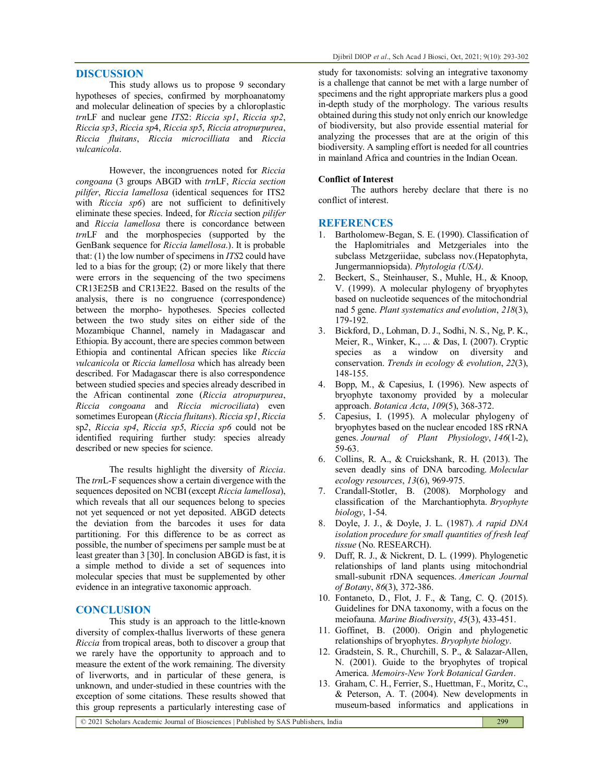#### **DISCUSSION**

This study allows us to propose 9 secondary hypotheses of species, confirmed by morphoanatomy and molecular delineation of species by a chloroplastic *trn*LF and nuclear gene *ITS*2: *Riccia sp1*, *Riccia sp2*, *Riccia sp3*, *Riccia sp*4, *Riccia sp5*, *Riccia atropurpurea*, *Riccia fluitans*, *Riccia microcilliata* and *Riccia vulcanicola*.

However, the incongruences noted for *Riccia congoana* (3 groups ABGD with *trn*LF, *Riccia section pilifer*, *Riccia lamellosa* (identical sequences for ITS2 with *Riccia sp6*) are not sufficient to definitively eliminate these species. Indeed, for *Riccia* section *pilifer* and *Riccia lamellosa* there is concordance between *trn*LF and the morphospecies (supported by the GenBank sequence for *Riccia lamellosa*.). It is probable that: (1) the low number of specimens in *ITS*2 could have led to a bias for the group;  $(2)$  or more likely that there were errors in the sequencing of the two specimens CR13E25B and CR13E22. Based on the results of the analysis, there is no congruence (correspondence) between the morpho- hypotheses. Species collected between the two study sites on either side of the Mozambique Channel, namely in Madagascar and Ethiopia. By account, there are species common between Ethiopia and continental African species like *Riccia vulcanicola* or *Riccia lamellosa* which has already been described. For Madagascar there is also correspondence between studied species and species already described in the African continental zone (*Riccia atropurpurea*, *Riccia congoana* and *Riccia microciliata*) even sometimes European (*Riccia fluitans*). *Riccia sp1*, *Riccia* sp*2*, *Riccia sp4*, *Riccia sp5*, *Riccia sp6* could not be identified requiring further study: species already described or new species for science.

The results highlight the diversity of *Riccia*. The *trn*L-F sequences show a certain divergence with the sequences deposited on NCBI (except *Riccia lamellosa*), which reveals that all our sequences belong to species not yet sequenced or not yet deposited. ABGD detects the deviation from the barcodes it uses for data partitioning. For this difference to be as correct as possible, the number of specimens per sample must be at least greater than 3 [30]. In conclusion ABGD is fast, it is a simple method to divide a set of sequences into molecular species that must be supplemented by other evidence in an integrative taxonomic approach.

#### **CONCLUSION**

This study is an approach to the little-known diversity of complex-thallus liverworts of these genera *Riccia* from tropical areas, both to discover a group that we rarely have the opportunity to approach and to measure the extent of the work remaining. The diversity of liverworts, and in particular of these genera, is unknown, and under-studied in these countries with the exception of some citations. These results showed that this group represents a particularly interesting case of study for taxonomists: solving an integrative taxonomy is a challenge that cannot be met with a large number of specimens and the right appropriate markers plus a good in-depth study of the morphology. The various results obtained during this study not only enrich our knowledge of biodiversity, but also provide essential material for analyzing the processes that are at the origin of this biodiversity. A sampling effort is needed for all countries in mainland Africa and countries in the Indian Ocean.

#### **Conflict of Interest**

The authors hereby declare that there is no conflict of interest.

#### **REFERENCES**

- 1. Bartholomew-Began, S. E. (1990). Classification of the Haplomitriales and Metzgeriales into the subclass Metzgeriidae, subclass nov.(Hepatophyta, Jungermanniopsida). *Phytologia (USA)*.
- 2. Beckert, S., Steinhauser, S., Muhle, H., & Knoop, V. (1999). A molecular phylogeny of bryophytes based on nucleotide sequences of the mitochondrial nad 5 gene. *Plant systematics and evolution*, *218*(3), 179-192.
- 3. Bickford, D., Lohman, D. J., Sodhi, N. S., Ng, P. K., Meier, R., Winker, K., ... & Das, I. (2007). Cryptic species as a window on diversity and conservation. *Trends in ecology & evolution*, *22*(3), 148-155.
- 4. Bopp, M., & Capesius, I. (1996). New aspects of bryophyte taxonomy provided by a molecular approach. *Botanica Acta*, *109*(5), 368-372.
- 5. Capesius, I. (1995). A molecular phylogeny of bryophytes based on the nuclear encoded 18S rRNA genes. *Journal of Plant Physiology*, *146*(1-2), 59-63.
- 6. Collins, R. A., & Cruickshank, R. H. (2013). The seven deadly sins of DNA barcoding. *Molecular ecology resources*, *13*(6), 969-975.
- 7. Crandall-Stotler, B. (2008). Morphology and classification of the Marchantiophyta. *Bryophyte biology*, 1-54.
- 8. Doyle, J. J., & Doyle, J. L. (1987). *A rapid DNA isolation procedure for small quantities of fresh leaf tissue* (No. RESEARCH).
- 9. Duff, R. J., & Nickrent, D. L. (1999). Phylogenetic relationships of land plants using mitochondrial small‐subunit rDNA sequences. *American Journal of Botany*, *86*(3), 372-386.
- 10. Fontaneto, D., Flot, J. F., & Tang, C. Q. (2015). Guidelines for DNA taxonomy, with a focus on the meiofauna. *Marine Biodiversity*, *45*(3), 433-451.
- 11. Goffinet, B. (2000). Origin and phylogenetic relationships of bryophytes. *Bryophyte biology*.
- 12. Gradstein, S. R., Churchill, S. P., & Salazar-Allen, N. (2001). Guide to the bryophytes of tropical America. *Memoirs-New York Botanical Garden*.
- 13. Graham, C. H., Ferrier, S., Huettman, F., Moritz, C., & Peterson, A. T. (2004). New developments in museum-based informatics and applications in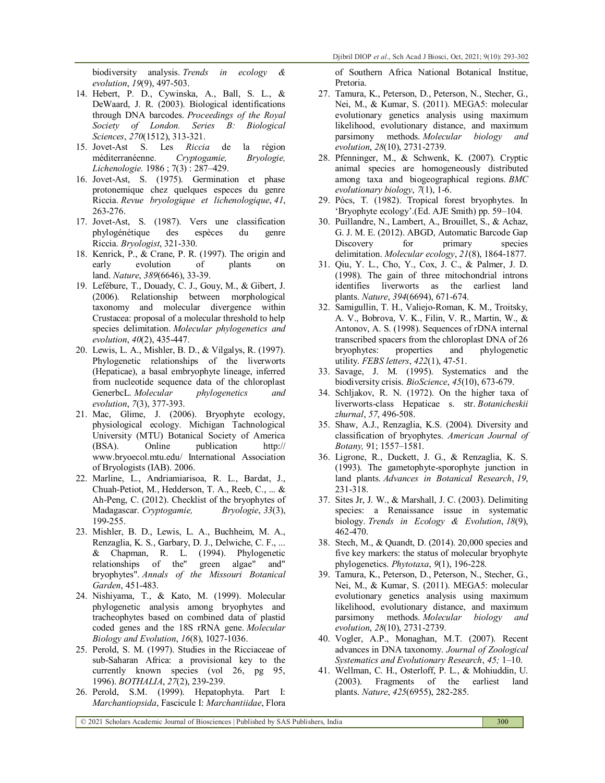biodiversity analysis. *Trends in ecology & evolution*, *19*(9), 497-503.

- 14. Hebert, P. D., Cywinska, A., Ball, S. L., & DeWaard, J. R. (2003). Biological identifications through DNA barcodes. *Proceedings of the Royal Society of London. Series B: Biological Sciences*, *270*(1512), 313-321.
- 15. Jovet-Ast S. Les *Riccia* de la région méditerranéenne. *Cryptogamie, Bryologie, Lichenologie.* 1986 ; 7(3) : 287–429.
- 16. Jovet-Ast, S. (1975). Germination et phase protonemique chez quelques especes du genre Riccia. *Revue bryologique et lichenologique*, *41*, 263-276.
- 17. Jovet-Ast, S. (1987). Vers une classification phylogénétique des espèces du genre Riccia. *Bryologist*, 321-330.
- 18. Kenrick, P., & Crane, P. R. (1997). The origin and early evolution of plants on land. *Nature*, *389*(6646), 33-39.
- 19. Lefébure, T., Douady, C. J., Gouy, M., & Gibert, J. (2006). Relationship between morphological taxonomy and molecular divergence within Crustacea: proposal of a molecular threshold to help species delimitation. *Molecular phylogenetics and evolution*, *40*(2), 435-447.
- 20. Lewis, L. A., Mishler, B. D., & Vilgalys, R. (1997). Phylogenetic relationships of the liverworts (Hepaticae), a basal embryophyte lineage, inferred from nucleotide sequence data of the chloroplast GenerbcL. *Molecular phylogenetics and evolution*, *7*(3), 377-393.
- 21. Mac, Glime, J. (2006). Bryophyte ecology, physiological ecology. Michigan Tachnological University (MTU) Botanical Society of America (BSA). Online publication http:// www.bryoecol.mtu.edu/ International Association of Bryologists (IAB). 2006.
- 22. Marline, L., Andriamiarisoa, R. L., Bardat, J., Chuah-Petiot, M., Hedderson, T. A., Reeb, C., ... & Ah-Peng, C. (2012). Checklist of the bryophytes of Madagascar. *Cryptogamie, Bryologie*, *33*(3), 199-255.
- 23. Mishler, B. D., Lewis, L. A., Buchheim, M. A., Renzaglia, K. S., Garbary, D. J., Delwiche, C. F., ... & Chapman, R. L. (1994). Phylogenetic relationships of the" green algae" and" bryophytes". *Annals of the Missouri Botanical Garden*, 451-483.
- 24. Nishiyama, T., & Kato, M. (1999). Molecular phylogenetic analysis among bryophytes and tracheophytes based on combined data of plastid coded genes and the 18S rRNA gene. *Molecular Biology and Evolution*, *16*(8), 1027-1036.
- 25. Perold, S. M. (1997). Studies in the Ricciaceae of sub-Saharan Africa: a provisional key to the currently known species (vol 26, pg 95, 1996). *BOTHALIA*, *27*(2), 239-239.
- 26. Perold, S.M. (1999). Hepatophyta. Part I: *Marchantiopsida*, Fascicule I: *Marchantiidae*, Flora

of Southern Africa National Botanical Institue, Pretoria.

- 27. Tamura, K., Peterson, D., Peterson, N., Stecher, G., Nei, M., & Kumar, S. (2011). MEGA5: molecular evolutionary genetics analysis using maximum likelihood, evolutionary distance, and maximum parsimony methods. *Molecular biology and evolution*, *28*(10), 2731-2739.
- 28. Pfenninger, M., & Schwenk, K. (2007). Cryptic animal species are homogeneously distributed among taxa and biogeographical regions. *BMC evolutionary biology*, *7*(1), 1-6.
- 29. Pócs, T. (1982). Tropical forest bryophytes. In 'Bryophyte ecology'.(Ed. AJE Smith) pp. 59–104.
- 30. Puillandre, N., Lambert, A., Brouillet, S., & Achaz, G. J. M. E. (2012). ABGD, Automatic Barcode Gap Discovery for primary species delimitation. *Molecular ecology*, *21*(8), 1864-1877.
- 31. Qiu, Y. L., Cho, Y., Cox, J. C., & Palmer, J. D. (1998). The gain of three mitochondrial introns identifies liverworts as the earliest land plants. *Nature*, *394*(6694), 671-674.
- 32. Samigullin, T. H., Valiejo-Roman, K. M., Troitsky, A. V., Bobrova, V. K., Filin, V. R., Martin, W., & Antonov, A. S. (1998). Sequences of rDNA internal transcribed spacers from the chloroplast DNA of 26 bryophytes: properties and phylogenetic utility. *FEBS letters*, *422*(1), 47-51.
- 33. Savage, J. M. (1995). Systematics and the biodiversity crisis. *BioScience*, *45*(10), 673-679.
- 34. Schljakov, R. N. (1972). On the higher taxa of liverworts-class Hepaticae s. str. *Botanicheskii zhurnal*, *57*, 496-508.
- 35. Shaw, A.J., Renzaglia, K.S. (2004). Diversity and classification of bryophytes. *American Journal of Botany,* 91; 1557–1581.
- 36. Ligrone, R., Duckett, J. G., & Renzaglia, K. S. (1993). The gametophyte-sporophyte junction in land plants. *Advances in Botanical Research*, *19*, 231-318.
- 37. Sites Jr, J. W., & Marshall, J. C. (2003). Delimiting species: a Renaissance issue in systematic biology. *Trends in Ecology & Evolution*, *18*(9), 462-470.
- 38. Stech, M., & Quandt, D. (2014). 20,000 species and five key markers: the status of molecular bryophyte phylogenetics. *Phytotaxa*, *9*(1), 196-228.
- 39. Tamura, K., Peterson, D., Peterson, N., Stecher, G., Nei, M., & Kumar, S. (2011). MEGA5: molecular evolutionary genetics analysis using maximum likelihood, evolutionary distance, and maximum parsimony methods. *Molecular biology and evolution*, *28*(10), 2731-2739.
- 40. Vogler, A.P., Monaghan, M.T. (2007). Recent advances in DNA taxonomy. *Journal of Zoological Systematics and Evolutionary Research*, *45;* 1–10.
- 41. Wellman, C. H., Osterloff, P. L., & Mohiuddin, U. (2003). Fragments of the earliest land plants. *Nature*, *425*(6955), 282-285.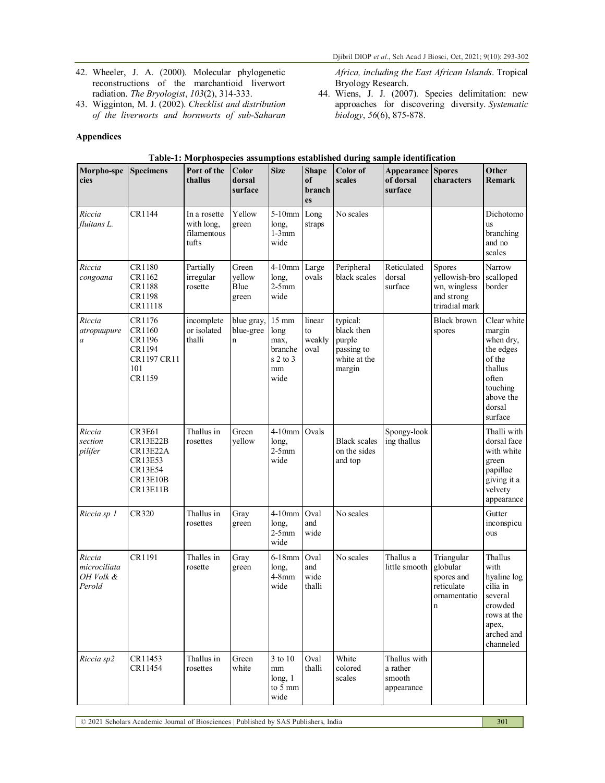- 42. Wheeler, J. A. (2000). Molecular phylogenetic reconstructions of the marchantioid liverwort radiation. *The Bryologist*, *103*(2), 314-333.
- 43. Wigginton, M. J. (2002). *Checklist and distribution of the liverworts and hornworts of sub-Saharan*

## **Appendices**

*Africa, including the East African Islands*. Tropical Bryology Research.

44. Wiens, J. J. (2007). Species delimitation: new approaches for discovering diversity. *Systematic biology*, *56*(6), 875-878.

| Morpho-spe<br>cies                            | <b>Specimens</b>                                                                                         | Port of the<br>thallus                             | Color<br>dorsal<br>surface             | <b>Size</b>                                                             | <b>Shape</b><br>of<br>branch<br>es | Color of<br>scales                                                       | Appearance<br>of dorsal<br>surface               | <b>Spores</b><br>characters                                                    | Other<br><b>Remark</b>                                                                                                      |
|-----------------------------------------------|----------------------------------------------------------------------------------------------------------|----------------------------------------------------|----------------------------------------|-------------------------------------------------------------------------|------------------------------------|--------------------------------------------------------------------------|--------------------------------------------------|--------------------------------------------------------------------------------|-----------------------------------------------------------------------------------------------------------------------------|
| Riccia<br>fluitans L.                         | CR1144                                                                                                   | In a rosette<br>with long,<br>filamentous<br>tufts | Yellow<br>green                        | 5-10mm Long<br>long,<br>$1-3mm$<br>wide                                 | straps                             | No scales                                                                |                                                  |                                                                                | Dichotomo<br><b>us</b><br>branching<br>and no<br>scales                                                                     |
| Riccia<br>congoana                            | CR1180<br>CR1162<br>CR1188<br>CR1198<br>CR11118                                                          | Partially<br>irregular<br>rosette                  | Green<br>yellow<br>Blue<br>green       | 4-10mm Large<br>long,<br>$2-5$ mm<br>wide                               | ovals                              | Peripheral<br>black scales                                               | Reticulated<br>dorsal<br>surface                 | <b>Spores</b><br>yellowish-bro<br>wn, wingless<br>and strong<br>triradial mark | Narrow<br>scalloped<br>border                                                                                               |
| Riccia<br>atropuupure<br>a                    | CR1176<br>CR1160<br>CR1196<br>CR1194<br>CR1197 CR11<br>101<br>CR1159                                     | incomplete<br>or isolated<br>thalli                | blue gray,<br>blue-gree<br>$\mathbf n$ | $15\;\mathrm{mm}$<br>long<br>max,<br>branche<br>$s2$ to 3<br>mm<br>wide | linear<br>to<br>weakly<br>oval     | typical:<br>black then<br>purple<br>passing to<br>white at the<br>margin |                                                  | <b>Black</b> brown<br>spores                                                   | Clear white<br>margin<br>when dry,<br>the edges<br>of the<br>thallus<br>often<br>touching<br>above the<br>dorsal<br>surface |
| Riccia<br>section<br>pilifer                  | <b>CR3E61</b><br><b>CR13E22B</b><br><b>CR13E22A</b><br>CR13E53<br>CR13E54<br><b>CR13E10B</b><br>CR13E11B | Thallus in<br>rosettes                             | Green<br>yellow                        | $4-10$ mm<br>long,<br>$2-5$ mm<br>wide                                  | Ovals                              | <b>Black</b> scales<br>on the sides<br>and top                           | Spongy-look<br>ing thallus                       |                                                                                | Thalli with<br>dorsal face<br>with white<br>green<br>papillae<br>giving it a<br>velvety<br>appearance                       |
| Riccia sp 1                                   | <b>CR320</b>                                                                                             | Thallus in<br>rosettes                             | Gray<br>green                          | $4-10$ mm<br>long,<br>$2-5$ mm<br>wide                                  | Oval<br>and<br>wide                | No scales                                                                |                                                  |                                                                                | Gutter<br>inconspicu<br>ous                                                                                                 |
| Riccia<br>microciliata<br>OH Volk &<br>Perold | CR1191                                                                                                   | Thalles in<br>rosette                              | Gray<br>green                          | 6-18mm<br>long,<br>$4-8$ mm<br>wide                                     | Oval<br>and<br>wide<br>thalli      | No scales                                                                | Thallus a<br>little smooth                       | Triangular<br>globular<br>spores and<br>reticulate<br>ornamentatio<br>n        | Thallus<br>with<br>hyaline log<br>cilia in<br>several<br>crowded<br>rows at the<br>apex,<br>arched and<br>channeled         |
| Riccia sp2                                    | CR11453<br>CR11454                                                                                       | Thallus in<br>rosettes                             | Green<br>white                         | 3 to 10<br>mm<br>long, 1<br>to 5 mm<br>wide                             | Oval<br>thalli                     | White<br>colored<br>scales                                               | Thallus with<br>a rather<br>smooth<br>appearance |                                                                                |                                                                                                                             |

# **Table-1: Morphospecies assumptions established during sample identification**